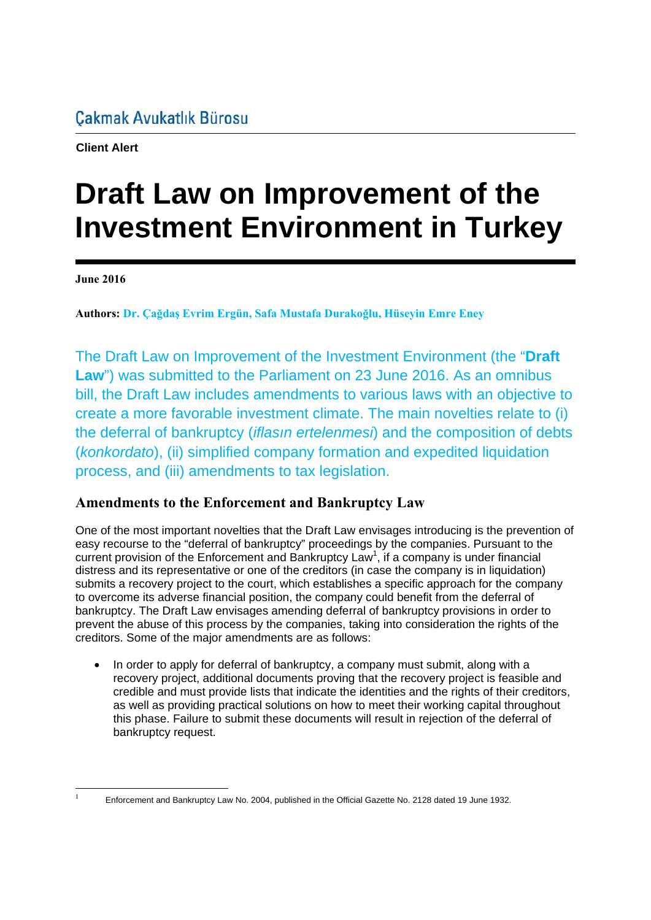**Client Alert**

# **Draft Law on Improvement of the Investment Environment in Turkey**

**June 2016** 

**Authors: Dr. Çağdaş Evrim Ergün, Safa Mustafa Durakoğlu, Hüseyin Emre Eney**

The Draft Law on Improvement of the Investment Environment (the "**Draft Law**") was submitted to the Parliament on 23 June 2016. As an omnibus bill, the Draft Law includes amendments to various laws with an objective to create a more favorable investment climate. The main novelties relate to (i) the deferral of bankruptcy (*iflasın ertelenmesi*) and the composition of debts (*konkordato*), (ii) simplified company formation and expedited liquidation process, and (iii) amendments to tax legislation.

# **Amendments to the Enforcement and Bankruptcy Law**

One of the most important novelties that the Draft Law envisages introducing is the prevention of easy recourse to the "deferral of bankruptcy" proceedings by the companies. Pursuant to the current provision of the Enforcement and Bankruptcy Law<sup>1</sup>, if a company is under financial distress and its representative or one of the creditors (in case the company is in liquidation) submits a recovery project to the court, which establishes a specific approach for the company to overcome its adverse financial position, the company could benefit from the deferral of bankruptcy. The Draft Law envisages amending deferral of bankruptcy provisions in order to prevent the abuse of this process by the companies, taking into consideration the rights of the creditors. Some of the major amendments are as follows:

• In order to apply for deferral of bankruptcy, a company must submit, along with a recovery project, additional documents proving that the recovery project is feasible and credible and must provide lists that indicate the identities and the rights of their creditors, as well as providing practical solutions on how to meet their working capital throughout this phase. Failure to submit these documents will result in rejection of the deferral of bankruptcy request.

<sup>-</sup>1

Enforcement and Bankruptcy Law No. 2004, published in the Official Gazette No. 2128 dated 19 June 1932.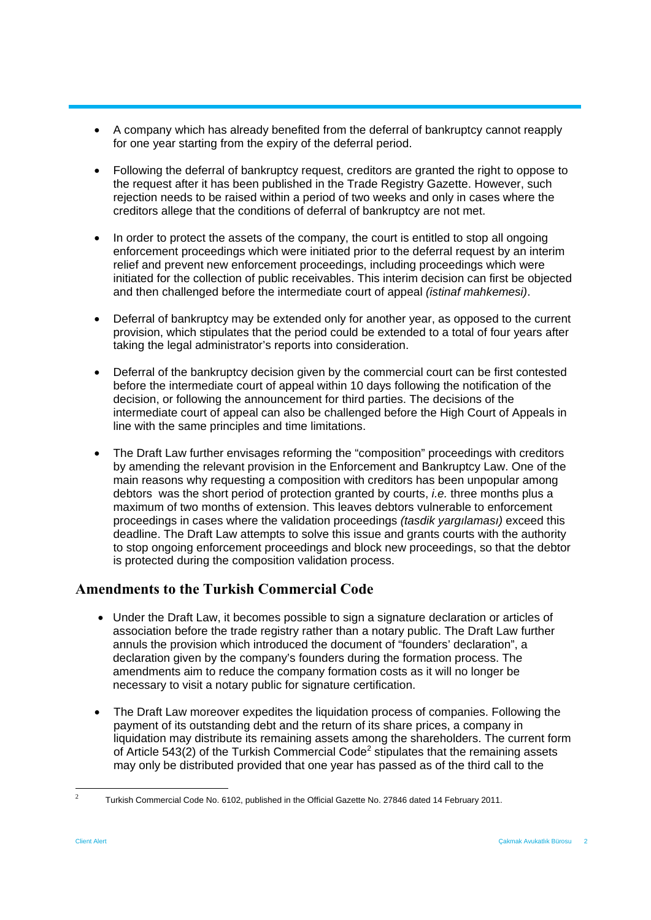- A company which has already benefited from the deferral of bankruptcy cannot reapply for one year starting from the expiry of the deferral period.
- Following the deferral of bankruptcy request, creditors are granted the right to oppose to the request after it has been published in the Trade Registry Gazette. However, such rejection needs to be raised within a period of two weeks and only in cases where the creditors allege that the conditions of deferral of bankruptcy are not met.
- In order to protect the assets of the company, the court is entitled to stop all ongoing enforcement proceedings which were initiated prior to the deferral request by an interim relief and prevent new enforcement proceedings, including proceedings which were initiated for the collection of public receivables. This interim decision can first be objected and then challenged before the intermediate court of appeal *(istinaf mahkemesi)*.
- Deferral of bankruptcy may be extended only for another year, as opposed to the current provision, which stipulates that the period could be extended to a total of four years after taking the legal administrator's reports into consideration.
- Deferral of the bankruptcy decision given by the commercial court can be first contested before the intermediate court of appeal within 10 days following the notification of the decision, or following the announcement for third parties. The decisions of the intermediate court of appeal can also be challenged before the High Court of Appeals in line with the same principles and time limitations.
- The Draft Law further envisages reforming the "composition" proceedings with creditors by amending the relevant provision in the Enforcement and Bankruptcy Law. One of the main reasons why requesting a composition with creditors has been unpopular among debtors was the short period of protection granted by courts, *i.e.* three months plus a maximum of two months of extension. This leaves debtors vulnerable to enforcement proceedings in cases where the validation proceedings *(tasdik yargılaması)* exceed this deadline. The Draft Law attempts to solve this issue and grants courts with the authority to stop ongoing enforcement proceedings and block new proceedings, so that the debtor is protected during the composition validation process.

## **Amendments to the Turkish Commercial Code**

- Under the Draft Law, it becomes possible to sign a signature declaration or articles of association before the trade registry rather than a notary public. The Draft Law further annuls the provision which introduced the document of "founders' declaration", a declaration given by the company's founders during the formation process. The amendments aim to reduce the company formation costs as it will no longer be necessary to visit a notary public for signature certification.
- The Draft Law moreover expedites the liquidation process of companies. Following the payment of its outstanding debt and the return of its share prices, a company in liquidation may distribute its remaining assets among the shareholders. The current form of Article 543(2) of the Turkish Commercial Code<sup>2</sup> stipulates that the remaining assets may only be distributed provided that one year has passed as of the third call to the

<sup>-</sup>2 Turkish Commercial Code No. 6102, published in the Official Gazette No. 27846 dated 14 February 2011.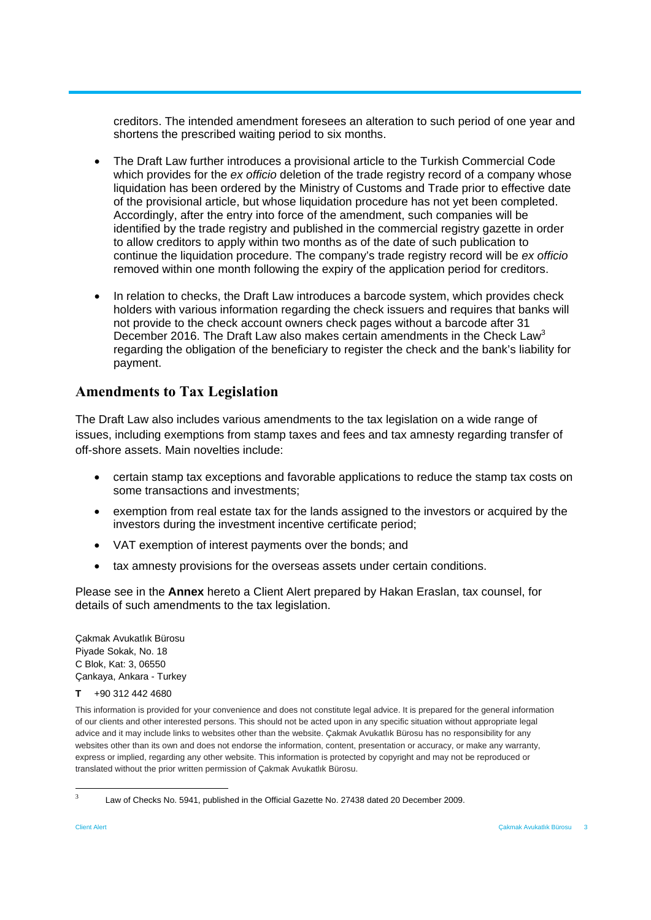creditors. The intended amendment foresees an alteration to such period of one year and shortens the prescribed waiting period to six months.

- The Draft Law further introduces a provisional article to the Turkish Commercial Code which provides for the *ex officio* deletion of the trade registry record of a company whose liquidation has been ordered by the Ministry of Customs and Trade prior to effective date of the provisional article, but whose liquidation procedure has not yet been completed. Accordingly, after the entry into force of the amendment, such companies will be identified by the trade registry and published in the commercial registry gazette in order to allow creditors to apply within two months as of the date of such publication to continue the liquidation procedure. The company's trade registry record will be *ex officio* removed within one month following the expiry of the application period for creditors.
- In relation to checks, the Draft Law introduces a barcode system, which provides check holders with various information regarding the check issuers and requires that banks will not provide to the check account owners check pages without a barcode after 31 December 2016. The Draft Law also makes certain amendments in the Check Law<sup>3</sup> regarding the obligation of the beneficiary to register the check and the bank's liability for payment.

## **Amendments to Tax Legislation**

The Draft Law also includes various amendments to the tax legislation on a wide range of issues, including exemptions from stamp taxes and fees and tax amnesty regarding transfer of off-shore assets. Main novelties include:

- certain stamp tax exceptions and favorable applications to reduce the stamp tax costs on some transactions and investments;
- exemption from real estate tax for the lands assigned to the investors or acquired by the investors during the investment incentive certificate period;
- VAT exemption of interest payments over the bonds; and
- tax amnesty provisions for the overseas assets under certain conditions.

Please see in the **Annex** hereto a Client Alert prepared by Hakan Eraslan, tax counsel, for details of such amendments to the tax legislation.

Çakmak Avukatlık Bürosu Piyade Sokak, No. 18 C Blok, Kat: 3, 06550 Çankaya, Ankara - Turkey

**T** +90 312 442 4680

This information is provided for your convenience and does not constitute legal advice. It is prepared for the general information of our clients and other interested persons. This should not be acted upon in any specific situation without appropriate legal advice and it may include links to websites other than the website. Çakmak Avukatlık Bürosu has no responsibility for any websites other than its own and does not endorse the information, content, presentation or accuracy, or make any warranty, express or implied, regarding any other website. This information is protected by copyright and may not be reproduced or translated without the prior written permission of Çakmak Avukatlık Bürosu.

-

<sup>3</sup> Law of Checks No. 5941, published in the Official Gazette No. 27438 dated 20 December 2009.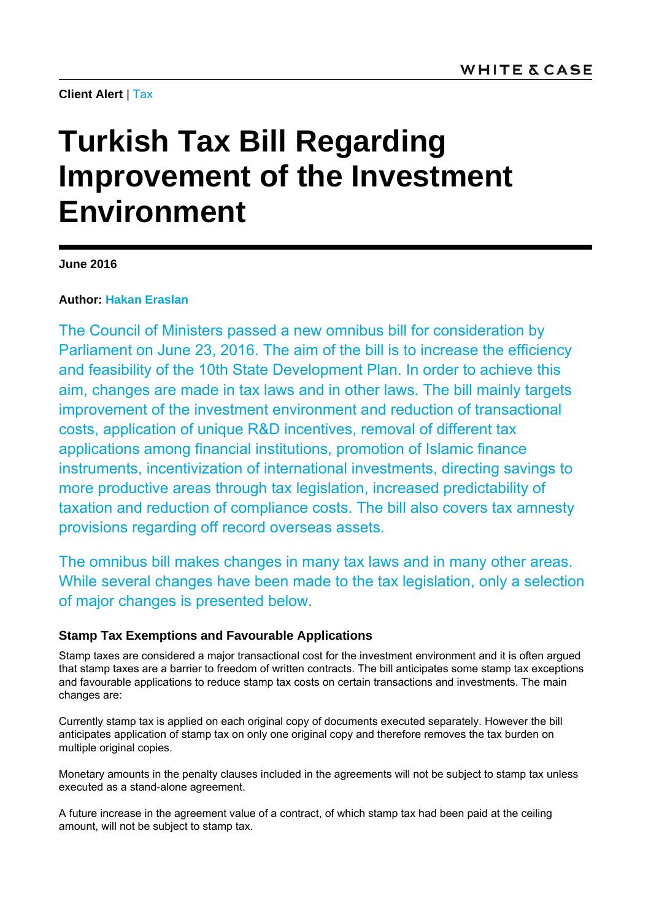**Client Alert** | Tax

# **Turkish Tax Bill Regarding Improvement of the Investment Environment**

**June 2016** 

## **Author: Hakan Eraslan**

The Council of Ministers passed a new omnibus bill for consideration by Parliament on June 23, 2016. The aim of the bill is to increase the efficiency and feasibility of the 10th State Development Plan. In order to achieve this aim, changes are made in tax laws and in other laws. The bill mainly targets improvement of the investment environment and reduction of transactional costs, application of unique R&D incentives, removal of different tax applications among financial institutions, promotion of Islamic finance instruments, incentivization of international investments, directing savings to more productive areas through tax legislation, increased predictability of taxation and reduction of compliance costs. The bill also covers tax amnesty provisions regarding off record overseas assets.

The omnibus bill makes changes in many tax laws and in many other areas. While several changes have been made to the tax legislation, only a selection of major changes is presented below.

## **Stamp Tax Exemptions and Favourable Applications**

Stamp taxes are considered a major transactional cost for the investment environment and it is often argued that stamp taxes are a barrier to freedom of written contracts. The bill anticipates some stamp tax exceptions and favourable applications to reduce stamp tax costs on certain transactions and investments. The main changes are:

Currently stamp tax is applied on each original copy of documents executed separately. However the bill anticipates application of stamp tax on only one original copy and therefore removes the tax burden on multiple original copies.

Monetary amounts in the penalty clauses included in the agreements will not be subject to stamp tax unless executed as a stand-alone agreement.

A future increase in the agreement value of a contract, of which stamp tax had been paid at the ceiling amount, will not be subject to stamp tax.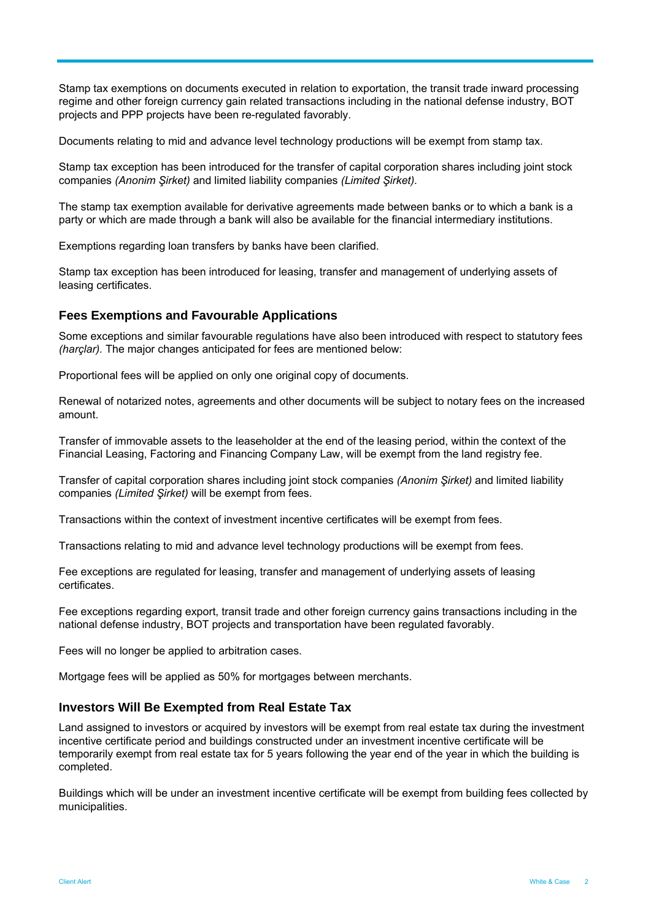Stamp tax exemptions on documents executed in relation to exportation, the transit trade inward processing regime and other foreign currency gain related transactions including in the national defense industry, BOT projects and PPP projects have been re-regulated favorably.

Documents relating to mid and advance level technology productions will be exempt from stamp tax.

Stamp tax exception has been introduced for the transfer of capital corporation shares including joint stock companies *(Anonim Şirket)* and limited liability companies *(Limited Şirket).*

The stamp tax exemption available for derivative agreements made between banks or to which a bank is a party or which are made through a bank will also be available for the financial intermediary institutions.

Exemptions regarding loan transfers by banks have been clarified.

Stamp tax exception has been introduced for leasing, transfer and management of underlying assets of leasing certificates.

#### **Fees Exemptions and Favourable Applications**

Some exceptions and similar favourable regulations have also been introduced with respect to statutory fees *(harçlar).* The major changes anticipated for fees are mentioned below:

Proportional fees will be applied on only one original copy of documents.

Renewal of notarized notes, agreements and other documents will be subject to notary fees on the increased amount.

Transfer of immovable assets to the leaseholder at the end of the leasing period, within the context of the Financial Leasing, Factoring and Financing Company Law, will be exempt from the land registry fee.

Transfer of capital corporation shares including joint stock companies *(Anonim Şirket)* and limited liability companies *(Limited Şirket)* will be exempt from fees.

Transactions within the context of investment incentive certificates will be exempt from fees.

Transactions relating to mid and advance level technology productions will be exempt from fees.

Fee exceptions are regulated for leasing, transfer and management of underlying assets of leasing certificates.

Fee exceptions regarding export, transit trade and other foreign currency gains transactions including in the national defense industry, BOT projects and transportation have been regulated favorably.

Fees will no longer be applied to arbitration cases.

Mortgage fees will be applied as 50% for mortgages between merchants.

#### **Investors Will Be Exempted from Real Estate Tax**

Land assigned to investors or acquired by investors will be exempt from real estate tax during the investment incentive certificate period and buildings constructed under an investment incentive certificate will be temporarily exempt from real estate tax for 5 years following the year end of the year in which the building is completed.

Buildings which will be under an investment incentive certificate will be exempt from building fees collected by municipalities.